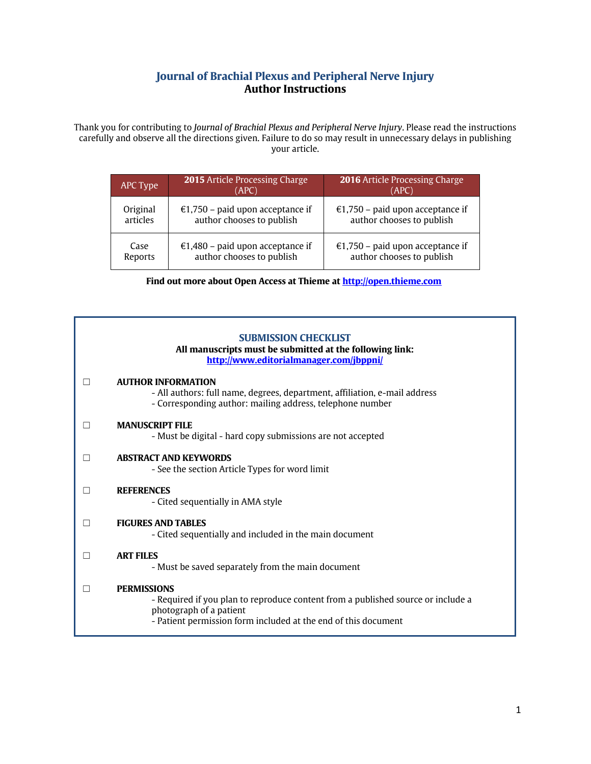## **Journal of Brachial Plexus and Peripheral Nerve Injury Author Instructions**

Thank you for contributing to *Journal of Brachial Plexus and Peripheral Nerve Injury*. Please read the instructions carefully and observe all the directions given. Failure to do so may result in unnecessary delays in publishing your article.

| APC Type | <b>2015</b> Article Processing Charge<br>(APC) | <b>2016</b> Article Processing Charge<br>(APC) |
|----------|------------------------------------------------|------------------------------------------------|
| Original | €1,750 – paid upon acceptance if               | €1,750 – paid upon acceptance if               |
| articles | author chooses to publish                      | author chooses to publish                      |
| Case     | €1,480 - paid upon acceptance if               | €1,750 - paid upon acceptance if               |
| Reports  | author chooses to publish                      | author chooses to publish                      |

**Find out more about Open Access at Thieme at [http://open.thieme.com](http://open.thieme.com/)**

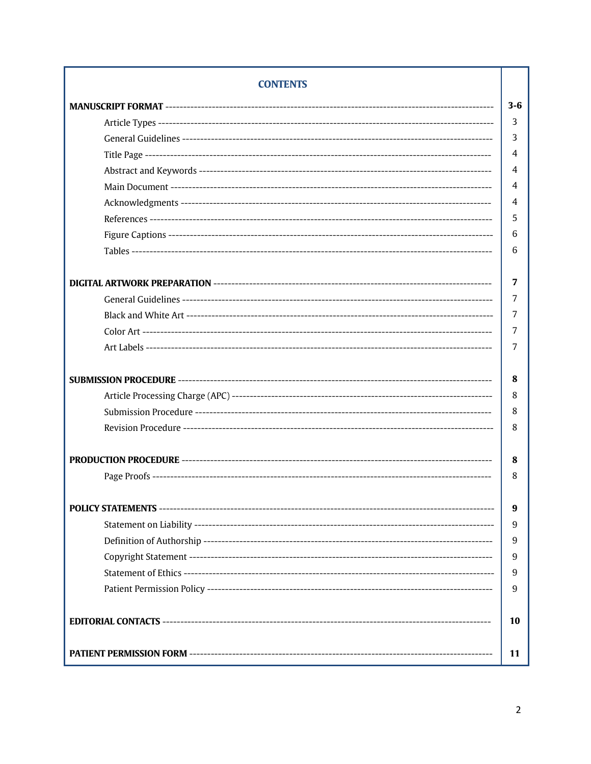| <b>CONTENTS</b> |         |  |  |  |
|-----------------|---------|--|--|--|
|                 | $3 - 6$ |  |  |  |
|                 | 3       |  |  |  |
|                 | 3       |  |  |  |
|                 | 4       |  |  |  |
|                 | 4       |  |  |  |
|                 | 4       |  |  |  |
|                 | 4       |  |  |  |
|                 | 5       |  |  |  |
|                 | 6       |  |  |  |
|                 | 6       |  |  |  |
|                 | 7       |  |  |  |
|                 | 7       |  |  |  |
|                 | 7       |  |  |  |
|                 | 7       |  |  |  |
|                 | 7       |  |  |  |
|                 | 8       |  |  |  |
|                 | 8       |  |  |  |
|                 | 8       |  |  |  |
|                 | 8       |  |  |  |
|                 | 8       |  |  |  |
|                 | 8       |  |  |  |
|                 | 9       |  |  |  |
|                 | 9       |  |  |  |
|                 | 9       |  |  |  |
|                 | 9       |  |  |  |
|                 | 9       |  |  |  |
|                 | 9       |  |  |  |
| 10              |         |  |  |  |
|                 | 11      |  |  |  |

# $\overline{2}$

I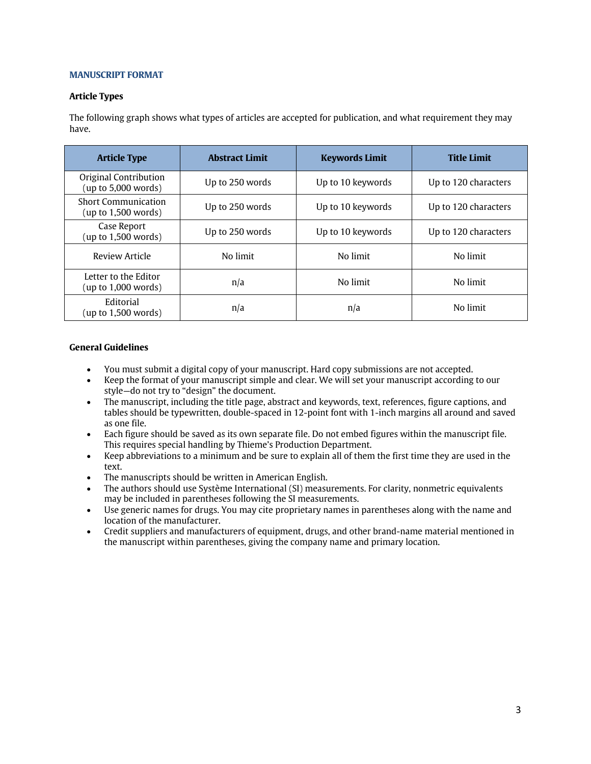## **MANUSCRIPT FORMAT**

### **Article Types**

The following graph shows what types of articles are accepted for publication, and what requirement they may have.

| <b>Article Type</b>                               | <b>Abstract Limit</b> | <b>Keywords Limit</b> | <b>Title Limit</b>   |
|---------------------------------------------------|-----------------------|-----------------------|----------------------|
| Original Contribution<br>(up to 5,000 words)      | Up to 250 words       | Up to 10 keywords     | Up to 120 characters |
| <b>Short Communication</b><br>(up to 1,500 words) | Up to 250 words       | Up to 10 keywords     | Up to 120 characters |
| Case Report<br>(up to $1,500$ words)              | Up to 250 words       | Up to 10 keywords     | Up to 120 characters |
| Review Article                                    | No limit              | No limit              | No limit             |
| Letter to the Editor<br>(up to 1,000 words)       | n/a                   | No limit              | No limit             |
| Editorial<br>(up to 1,500 words)                  | n/a                   | n/a                   | No limit             |

#### **General Guidelines**

- You must submit a digital copy of your manuscript. Hard copy submissions are not accepted.
- Keep the format of your manuscript simple and clear. We will set your manuscript according to our style—do not try to "design" the document.
- The manuscript, including the title page, abstract and keywords, text, references, figure captions, and tables should be typewritten, double-spaced in 12-point font with 1-inch margins all around and saved as one file.
- Each figure should be saved as its own separate file. Do not embed figures within the manuscript file. This requires special handling by Thieme's Production Department.
- Keep abbreviations to a minimum and be sure to explain all of them the first time they are used in the text.
- The manuscripts should be written in American English.
- The authors should use Système International (SI) measurements. For clarity, nonmetric equivalents may be included in parentheses following the SI measurements.
- Use generic names for drugs. You may cite proprietary names in parentheses along with the name and location of the manufacturer.
- Credit suppliers and manufacturers of equipment, drugs, and other brand-name material mentioned in the manuscript within parentheses, giving the company name and primary location.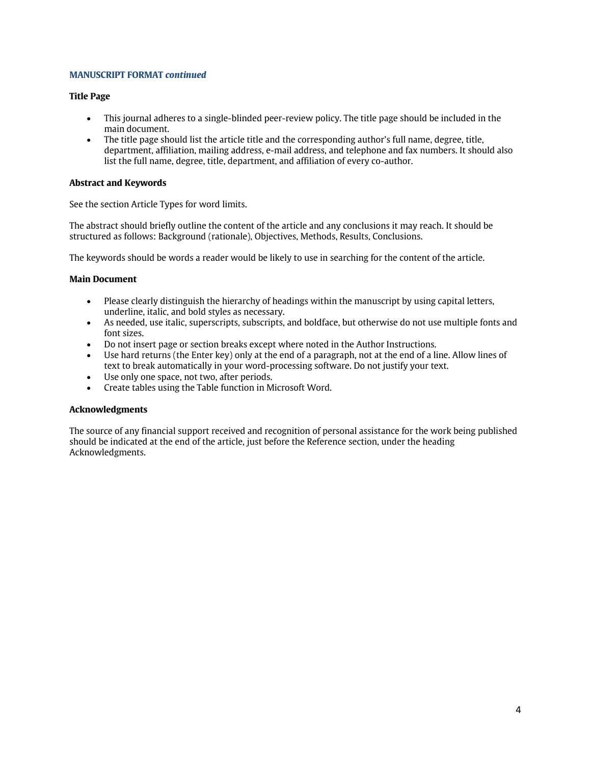## **MANUSCRIPT FORMAT** *continued*

## **Title Page**

- This journal adheres to a single-blinded peer-review policy. The title page should be included in the main document.
- The title page should list the article title and the corresponding author's full name, degree, title, department, affiliation, mailing address, e-mail address, and telephone and fax numbers. It should also list the full name, degree, title, department, and affiliation of every co-author.

## **Abstract and Keywords**

See the section Article Types for word limits.

The abstract should briefly outline the content of the article and any conclusions it may reach. It should be structured as follows: Background (rationale), Objectives, Methods, Results, Conclusions.

The keywords should be words a reader would be likely to use in searching for the content of the article.

## **Main Document**

- Please clearly distinguish the hierarchy of headings within the manuscript by using capital letters, underline, italic, and bold styles as necessary.
- As needed, use italic, superscripts, subscripts, and boldface, but otherwise do not use multiple fonts and font sizes.
- Do not insert page or section breaks except where noted in the Author Instructions.
- Use hard returns (the Enter key) only at the end of a paragraph, not at the end of a line. Allow lines of text to break automatically in your word-processing software. Do not justify your text.
- Use only one space, not two, after periods.
- Create tables using the Table function in Microsoft Word.

## **Acknowledgments**

The source of any financial support received and recognition of personal assistance for the work being published should be indicated at the end of the article, just before the Reference section, under the heading Acknowledgments.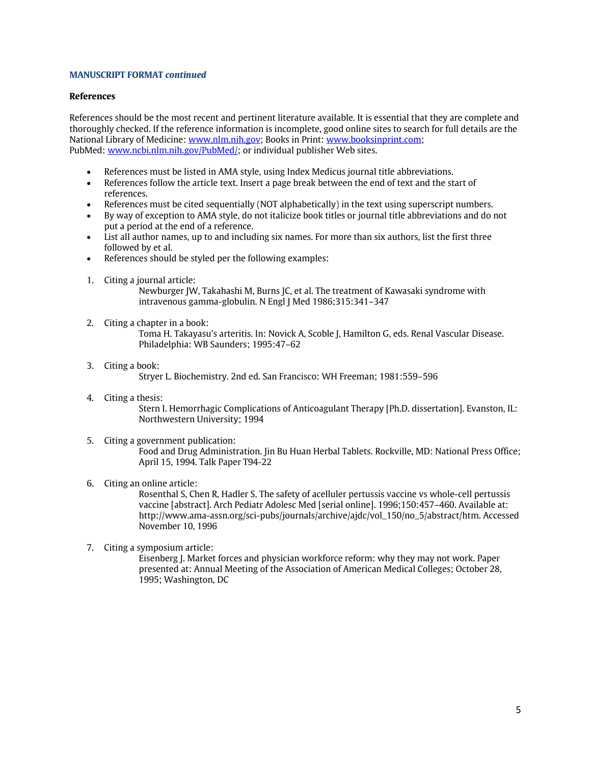### **MANUSCRIPT FORMAT** *continued*

#### **References**

References should be the most recent and pertinent literature available. It is essential that they are complete and thoroughly checked. If the reference information is incomplete, good online sites to search for full details are the National Library of Medicine[: www.nlm.nih.gov;](http://www.nlm.nih.gov/) Books in Print: [www.booksinprint.com;](http://www.booksinprint.com/) PubMed[: www.ncbi.nlm.nih.gov/PubMed/;](http://www.ncbi.nlm.nih.gov/PubMed/) or individual publisher Web sites.

- References must be listed in AMA style, using Index Medicus journal title abbreviations.
- References follow the article text. Insert a page break between the end of text and the start of references.
- References must be cited sequentially (NOT alphabetically) in the text using superscript numbers.
- By way of exception to AMA style, do not italicize book titles or journal title abbreviations and do not put a period at the end of a reference.
- List all author names, up to and including six names. For more than six authors, list the first three followed by et al.
- References should be styled per the following examples:
- 1. Citing a journal article:

Newburger JW, Takahashi M, Burns JC, et al. The treatment of Kawasaki syndrome with intravenous gamma-globulin. N Engl J Med 1986;315:341–347

- 2. Citing a chapter in a book: Toma H. Takayasu's arteritis. In: Novick A, Scoble J, Hamilton G, eds. Renal Vascular Disease. Philadelphia: WB Saunders; 1995:47–62
- 3. Citing a book: Stryer L. Biochemistry. 2nd ed. San Francisco: WH Freeman; 1981:559–596
- 4. Citing a thesis: Stern I. Hemorrhagic Complications of Anticoagulant Therapy [Ph.D. dissertation]. Evanston, IL: Northwestern University; 1994
- 5. Citing a government publication: Food and Drug Administration. Jin Bu Huan Herbal Tablets. Rockville, MD: National Press Office; April 15, 1994. Talk Paper T94-22
- 6. Citing an online article:

Rosenthal S, Chen R, Hadler S. The safety of acelluler pertussis vaccine vs whole-cell pertussis vaccine [abstract]. Arch Pediatr Adolesc Med [serial online]. 1996;150:457–460. Available at: http://www.ama-assn.org/sci-pubs/journals/archive/ajdc/vol\_150/no\_5/abstract/htm. Accessed November 10, 1996

7. Citing a symposium article:

Eisenberg J. Market forces and physician workforce reform: why they may not work. Paper presented at: Annual Meeting of the Association of American Medical Colleges; October 28, 1995; Washington, DC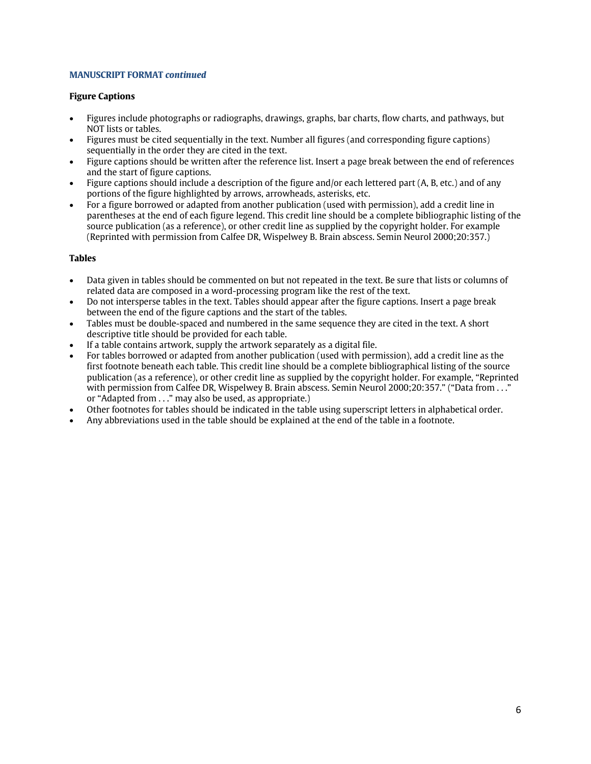## **MANUSCRIPT FORMAT** *continued*

## **Figure Captions**

- Figures include photographs or radiographs, drawings, graphs, bar charts, flow charts, and pathways, but NOT lists or tables.
- Figures must be cited sequentially in the text. Number all figures (and corresponding figure captions) sequentially in the order they are cited in the text.
- Figure captions should be written after the reference list. Insert a page break between the end of references and the start of figure captions.
- Figure captions should include a description of the figure and/or each lettered part (A, B, etc.) and of any portions of the figure highlighted by arrows, arrowheads, asterisks, etc.
- For a figure borrowed or adapted from another publication (used with permission), add a credit line in parentheses at the end of each figure legend. This credit line should be a complete bibliographic listing of the source publication (as a reference), or other credit line as supplied by the copyright holder. For example (Reprinted with permission from Calfee DR, Wispelwey B. Brain abscess. Semin Neurol 2000;20:357.)

## **Tables**

- Data given in tables should be commented on but not repeated in the text. Be sure that lists or columns of related data are composed in a word-processing program like the rest of the text.
- Do not intersperse tables in the text. Tables should appear after the figure captions. Insert a page break between the end of the figure captions and the start of the tables.
- Tables must be double-spaced and numbered in the same sequence they are cited in the text. A short descriptive title should be provided for each table.
- If a table contains artwork, supply the artwork separately as a digital file.
- For tables borrowed or adapted from another publication (used with permission), add a credit line as the first footnote beneath each table. This credit line should be a complete bibliographical listing of the source publication (as a reference), or other credit line as supplied by the copyright holder. For example, "Reprinted with permission from Calfee DR, Wispelwey B. Brain abscess. Semin Neurol 2000;20:357." ("Data from . . ." or "Adapted from . . ." may also be used, as appropriate.)
- Other footnotes for tables should be indicated in the table using superscript letters in alphabetical order.
- Any abbreviations used in the table should be explained at the end of the table in a footnote.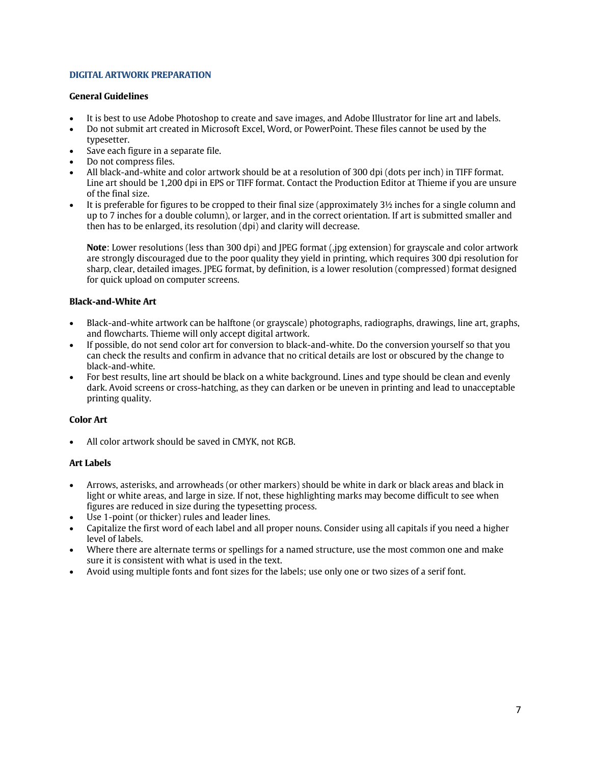## **DIGITAL ARTWORK PREPARATION**

## **General Guidelines**

- It is best to use Adobe Photoshop to create and save images, and Adobe Illustrator for line art and labels.
- Do not submit art created in Microsoft Excel, Word, or PowerPoint. These files cannot be used by the typesetter.
- Save each figure in a separate file.
- Do not compress files.
- All black-and-white and color artwork should be at a resolution of 300 dpi (dots per inch) in TIFF format. Line art should be 1,200 dpi in EPS or TIFF format. Contact the Production Editor at Thieme if you are unsure of the final size.
- It is preferable for figures to be cropped to their final size (approximately  $3\frac{1}{2}$  inches for a single column and up to 7 inches for a double column), or larger, and in the correct orientation. If art is submitted smaller and then has to be enlarged, its resolution (dpi) and clarity will decrease.

**Note**: Lower resolutions (less than 300 dpi) and JPEG format (.jpg extension) for grayscale and color artwork are strongly discouraged due to the poor quality they yield in printing, which requires 300 dpi resolution for sharp, clear, detailed images. JPEG format, by definition, is a lower resolution (compressed) format designed for quick upload on computer screens.

## **Black-and-White Art**

- Black-and-white artwork can be halftone (or grayscale) photographs, radiographs, drawings, line art, graphs, and flowcharts. Thieme will only accept digital artwork.
- If possible, do not send color art for conversion to black-and-white. Do the conversion yourself so that you can check the results and confirm in advance that no critical details are lost or obscured by the change to black-and-white.
- For best results, line art should be black on a white background. Lines and type should be clean and evenly dark. Avoid screens or cross-hatching, as they can darken or be uneven in printing and lead to unacceptable printing quality.

## **Color Art**

• All color artwork should be saved in CMYK, not RGB.

## **Art Labels**

- Arrows, asterisks, and arrowheads (or other markers) should be white in dark or black areas and black in light or white areas, and large in size. If not, these highlighting marks may become difficult to see when figures are reduced in size during the typesetting process.
- Use 1-point (or thicker) rules and leader lines.
- Capitalize the first word of each label and all proper nouns. Consider using all capitals if you need a higher level of labels.
- Where there are alternate terms or spellings for a named structure, use the most common one and make sure it is consistent with what is used in the text.
- Avoid using multiple fonts and font sizes for the labels; use only one or two sizes of a serif font.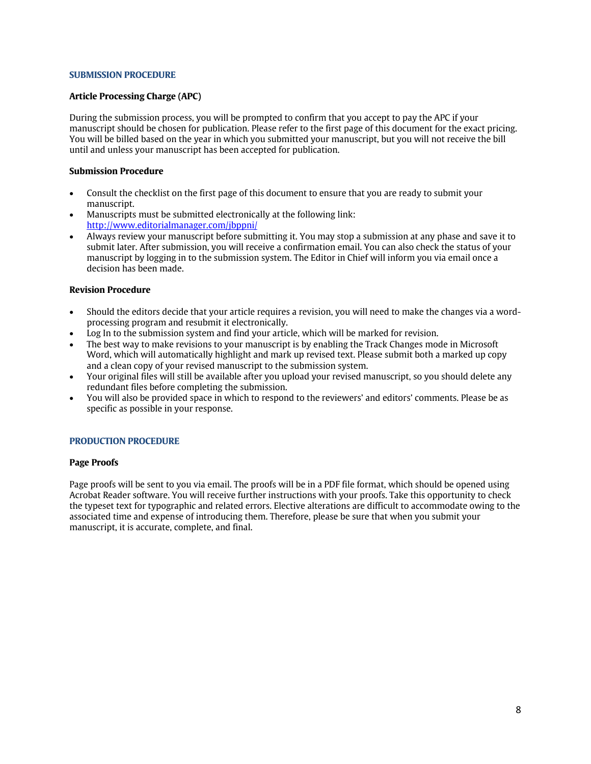#### **SUBMISSION PROCEDURE**

#### **Article Processing Charge (APC)**

During the submission process, you will be prompted to confirm that you accept to pay the APC if your manuscript should be chosen for publication. Please refer to the first page of this document for the exact pricing. You will be billed based on the year in which you submitted your manuscript, but you will not receive the bill until and unless your manuscript has been accepted for publication.

#### **Submission Procedure**

- Consult the checklist on the first page of this document to ensure that you are ready to submit your manuscript.
- Manuscripts must be submitted electronically at the following link: <http://www.editorialmanager.com/jbppni/>
- Always review your manuscript before submitting it. You may stop a submission at any phase and save it to submit later. After submission, you will receive a confirmation email. You can also check the status of your manuscript by logging in to the submission system. The Editor in Chief will inform you via email once a decision has been made.

#### **Revision Procedure**

- Should the editors decide that your article requires a revision, you will need to make the changes via a wordprocessing program and resubmit it electronically.
- Log In to the submission system and find your article, which will be marked for revision.
- The best way to make revisions to your manuscript is by enabling the Track Changes mode in Microsoft Word, which will automatically highlight and mark up revised text. Please submit both a marked up copy and a clean copy of your revised manuscript to the submission system.
- Your original files will still be available after you upload your revised manuscript, so you should delete any redundant files before completing the submission.
- You will also be provided space in which to respond to the reviewers' and editors' comments. Please be as specific as possible in your response.

#### **PRODUCTION PROCEDURE**

#### **Page Proofs**

Page proofs will be sent to you via email. The proofs will be in a PDF file format, which should be opened using Acrobat Reader software. You will receive further instructions with your proofs. Take this opportunity to check the typeset text for typographic and related errors. Elective alterations are difficult to accommodate owing to the associated time and expense of introducing them. Therefore, please be sure that when you submit your manuscript, it is accurate, complete, and final.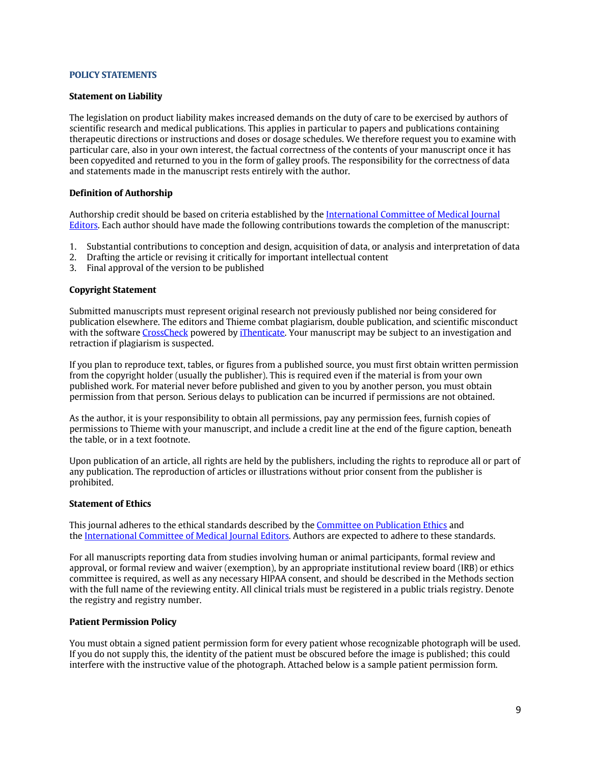#### **POLICY STATEMENTS**

#### **Statement on Liability**

The legislation on product liability makes increased demands on the duty of care to be exercised by authors of scientific research and medical publications. This applies in particular to papers and publications containing therapeutic directions or instructions and doses or dosage schedules. We therefore request you to examine with particular care, also in your own interest, the factual correctness of the contents of your manuscript once it has been copyedited and returned to you in the form of galley proofs. The responsibility for the correctness of data and statements made in the manuscript rests entirely with the author.

#### **Definition of Authorship**

Authorship credit should be based on criteria established by the [International Committee of Medical Journal](http://www.icmje.org/)  [Editors.](http://www.icmje.org/) Each author should have made the following contributions towards the completion of the manuscript:

- 1. Substantial contributions to conception and design, acquisition of data, or analysis and interpretation of data
- 2. Drafting the article or revising it critically for important intellectual content
- 3. Final approval of the version to be published

#### **Copyright Statement**

Submitted manuscripts must represent original research not previously published nor being considered for publication elsewhere. The editors and Thieme combat plagiarism, double publication, and scientific misconduct with the software [CrossCheck](http://www.crossref.org/crosscheck/) powered b[y iThenticate.](http://www.ithenticate.com/) Your manuscript may be subject to an investigation and retraction if plagiarism is suspected.

If you plan to reproduce text, tables, or figures from a published source, you must first obtain written permission from the copyright holder (usually the publisher). This is required even if the material is from your own published work. For material never before published and given to you by another person, you must obtain permission from that person. Serious delays to publication can be incurred if permissions are not obtained.

As the author, it is your responsibility to obtain all permissions, pay any permission fees, furnish copies of permissions to Thieme with your manuscript, and include a credit line at the end of the figure caption, beneath the table, or in a text footnote.

Upon publication of an article, all rights are held by the publishers, including the rights to reproduce all or part of any publication. The reproduction of articles or illustrations without prior consent from the publisher is prohibited.

## **Statement of Ethics**

This journal adheres to the ethical standards described by th[e Committee on Publication Ethics](http://publicationethics.org/) and the [International Committee of Medical Journal Editors.](http://www.icmje.org/urm_main.html) Authors are expected to adhere to these standards.

For all manuscripts reporting data from studies involving human or animal participants, formal review and approval, or formal review and waiver (exemption), by an appropriate institutional review board (IRB) or ethics committee is required, as well as any necessary HIPAA consent, and should be described in the Methods section with the full name of the reviewing entity. All clinical trials must be registered in a public trials registry. Denote the registry and registry number.

#### **Patient Permission Policy**

You must obtain a signed patient permission form for every patient whose recognizable photograph will be used. If you do not supply this, the identity of the patient must be obscured before the image is published; this could interfere with the instructive value of the photograph. Attached below is a sample patient permission form.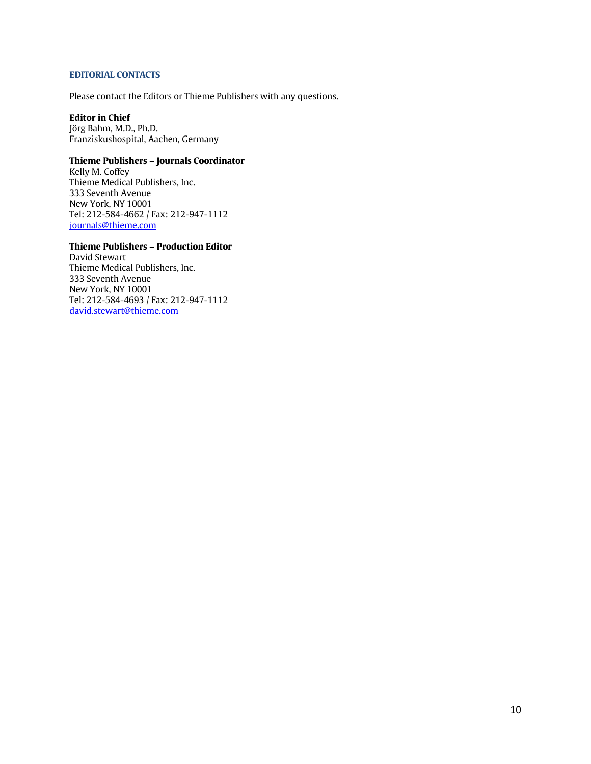## **EDITORIAL CONTACTS**

Please contact the Editors or Thieme Publishers with any questions.

## **Editor in Chief**

Jörg Bahm, M.D., Ph.D. Franziskushospital, Aachen, Germany

## **Thieme Publishers – Journals Coordinator**

Kelly M. Coffey Thieme Medical Publishers, Inc. 333 Seventh Avenue New York, NY 10001 Tel: 212-584-4662 / Fax: 212-947-1112 [journals@thieme.com](mailto:journals@thieme.com)

## **Thieme Publishers – Production Editor**

David Stewart Thieme Medical Publishers, Inc. 333 Seventh Avenue New York, NY 10001 Tel: 212-584-4693 / Fax: 212-947-1112 [david.stewart@thieme.com](mailto:david.stewart@thieme.com)